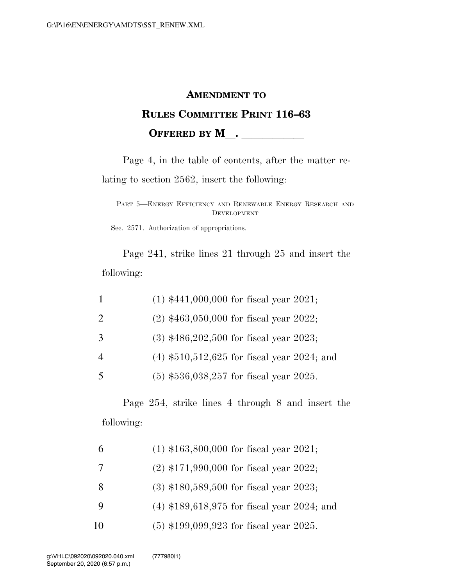# **AMENDMENT TO RULES COMMITTEE PRINT 116–63 OFFERED BY M** .

Page 4, in the table of contents, after the matter relating to section 2562, insert the following:

PART 5—ENERGY EFFICIENCY AND RENEWABLE ENERGY RESEARCH AND DEVELOPMENT

Sec. 2571. Authorization of appropriations.

Page 241, strike lines 21 through 25 and insert the following:

|                | $(1)$ \$441,000,000 for fiscal year 2021;     |
|----------------|-----------------------------------------------|
| $\overline{2}$ | $(2)$ \$463,050,000 for fiscal year 2022;     |
| 3              | $(3)$ \$486,202,500 for fiscal year 2023;     |
| $\overline{4}$ | $(4)$ \$510,512,625 for fiscal year 2024; and |
| 5              | $(5)$ \$536,038,257 for fiscal year 2025.     |

Page 254, strike lines 4 through 8 and insert the following:

|    | $(1)$ \$163,800,000 for fiscal year 2021;     |
|----|-----------------------------------------------|
| -7 | $(2)$ \$171,990,000 for fiscal year 2022;     |
| 8  | $(3)$ \$180,589,500 for fiscal year 2023;     |
| 9  | $(4)$ \$189,618,975 for fiscal year 2024; and |
| 10 | $(5)$ \$199,099,923 for fiscal year 2025.     |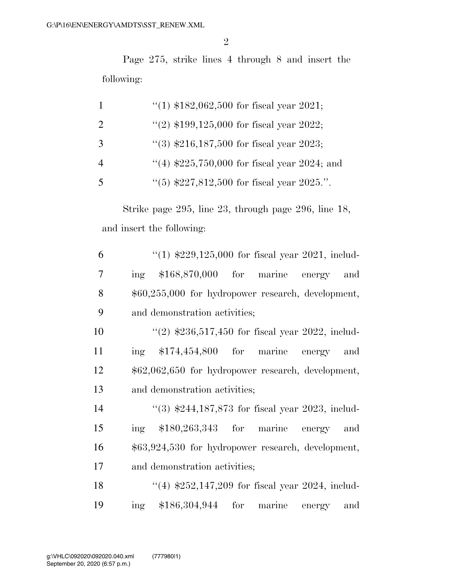Page 275, strike lines 4 through 8 and insert the following:

|                         | "(1) $$182,062,500$ for fiscal year 2021;     |
|-------------------------|-----------------------------------------------|
| 2                       | "(2) $$199,125,000$ for fiscal year 2022;     |
| 3                       | $\lq(3)$ \$216,187,500 for fiscal year 2023;  |
| $\overline{4}$          | $(4)$ \$225,750,000 for fiscal year 2024; and |
| $\overline{\mathbf{5}}$ | $(5)$ \$227,812,500 for fiscal year 2025.".   |

Strike page 295, line 23, through page 296, line 18, and insert the following:

| 6              | "(1) $$229,125,000$ for fiscal year 2021, includ-   |
|----------------|-----------------------------------------------------|
| $\overline{7}$ | ing $$168,870,000$ for marine energy<br>and         |
| 8              | $$60,255,000$ for hydropower research, development, |
| 9              | and demonstration activities;                       |
| 10             | "(2) $$236,517,450$ for fiscal year 2022, includ-   |
| 11             | $\text{ing}$ \$174,454,800 for marine energy<br>and |
| 12             | \$62,062,650 for hydropower research, development,  |
| 13             | and demonstration activities;                       |
| 14             | $(3)$ \$244,187,873 for fiscal year 2023, includ-   |
| 15             | ing \$180,263,343 for marine energy and             |
| 16             | $$63,924,530$ for hydropower research, development, |
| 17             | and demonstration activities;                       |
| 18             | "(4) $$252,147,209$ for fiscal year 2024, includ-   |
| 19             | $$186,304,944$ for marine energy<br>and<br>ing      |